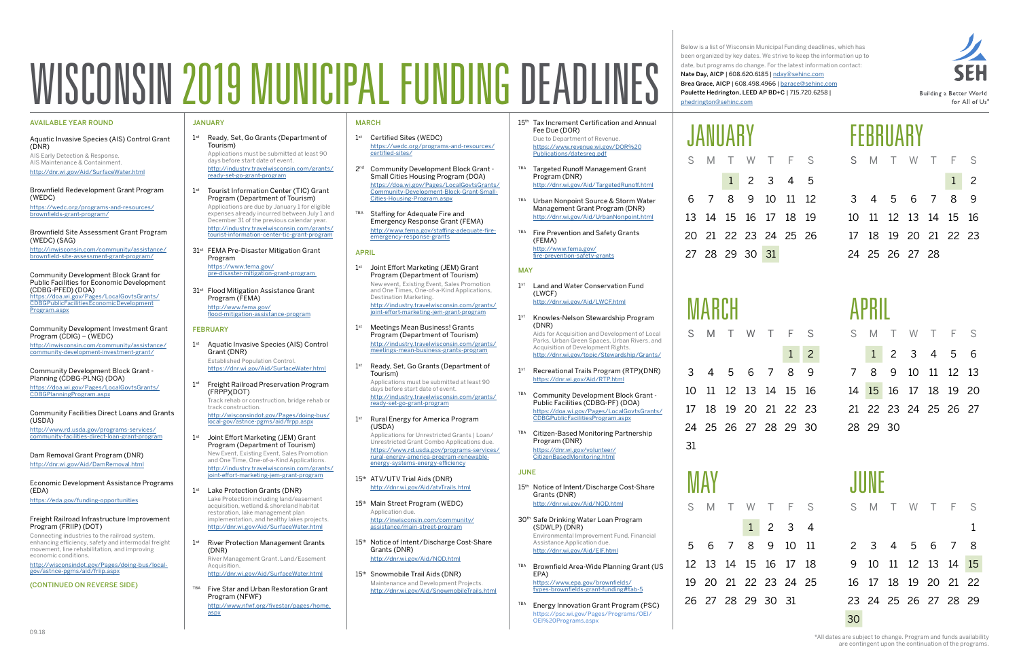### JANUARY

- 1<sup>st</sup> Ready, Set, Go Grants (Department of Tourism) Applications must be submitted at least 90 days before start date of event. [http://industry.travelwisconsin.com/grants/](http://industry.travelwisconsin.com/grants/ready-set-go-grant-program) [ready-set-go-grant-program](http://industry.travelwisconsin.com/grants/ready-set-go-grant-program)
- 1<sup>st</sup> Tourist Information Center (TIC) Grant Program (Department of Tourism) Applications are due by January 1 for eligible expenses already incurred between July 1 and December 31 of the previous calendar year. [http://industry.travelwisconsin.com/grants/](http://industry.travelwisconsin.com/grants/tourist-information-center-tic-grant-program) [tourist-information-center-tic-grant-program](http://industry.travelwisconsin.com/grants/tourist-information-center-tic-grant-program)

31<sup>st</sup> FEMA Pre-Disaster Mitigation Grant Program [https://www.fema.gov/](https://www.fema.gov/pre-disaster-mitigation-grant-program)

31<sup>st</sup> Flood Mitigation Assistance Grant Program (FEMA) [http://www.fema.gov/](http://www.fema.gov/flood-mitigation-assistance-program) [flood-mitigation-assistance-program](http://www.fema.gov/flood-mitigation-assistance-program)

#### **FEBRUARY**

1<sup>st</sup> Aquatic Invasive Species (AIS) Control Grant (DNR) Established Population Control.

[pre-disaster-mitigation-grant-program](https://www.fema.gov/pre-disaster-mitigation-grant-program)

- 1<sup>st</sup> Freight Railroad Preservation Program (FRPP)(DOT) Track rehab or construction, bridge rehab or track construction.
- [http://wisconsindot.gov/Pages/doing-bus/](http://wisconsindot.gov/Pages/doing-bus/local-gov/astnce-pgms/aid/frpp.aspx) [local-gov/astnce-pgms/aid/frpp.aspx](http://wisconsindot.gov/Pages/doing-bus/local-gov/astnce-pgms/aid/frpp.aspx) 1<sup>st</sup> Joint Effort Marketing (JEM) Grant
- Program (Department of Tourism) New Event, Existing Event, Sales Promotion and One Time, One-of-a-Kind Applications. [http://industry.travelwisconsin.com/grants/](http://industry.travelwisconsin.com/grants/joint-effort-marketing-jem-grant-program) [joint-effort-marketing-jem-grant-program](http://industry.travelwisconsin.com/grants/joint-effort-marketing-jem-grant-program)
- 1<sup>st</sup> Lake Protection Grants (DNR) Lake Protection including land/easement acquisition, wetland & shoreland habitat restoration, lake management plan implementation, and healthy lakes projects. <http://dnr.wi.gov/Aid/SurfaceWater.html>
- 1<sup>st</sup> River Protection Management Grants (DNR) River Management Grant. Land/Easement

<https://dnr.wi.gov/Aid/SurfaceWater.html>

- 1<sup>st</sup> Certified Sites (WEDC) [https://wedc.org/programs-and-resources/](https://wedc.org/programs-and-resources/certified-sites/) [certified-sites/](https://wedc.org/programs-and-resources/certified-sites/)
- 2<sup>nd</sup> Community Development Block Grant -Small Cities Housing Program (DOA) [https://doa.wi.gov/Pages/LocalGovtsGrants/](https://doa.wi.gov/Pages/LocalGovtsGrants/Community-Development-Block-Grant-Small-Cities-Housing-Program.aspx) [Community-Development-Block-Grant-Small-](https://doa.wi.gov/Pages/LocalGovtsGrants/Community-Development-Block-Grant-Small-Cities-Housing-Program.aspx)[Cities-Housing-Program.aspx](https://doa.wi.gov/Pages/LocalGovtsGrants/Community-Development-Block-Grant-Small-Cities-Housing-Program.aspx)
- TBA Staffing for Adequate Fire and Emergency Response Grant (FEMA) [http://www.fema.gov/staffing-adequate-fire](http://www.fema.gov/staffing-adequate-fire-emergency-response-grants)[emergency-response-grants](http://www.fema.gov/staffing-adequate-fire-emergency-response-grants)

- 1<sup>st</sup> Joint Effort Marketing (JEM) Grant Program (Department of Tourism) New event, Existing Event, Sales Promotion and One Times, One-of-a-Kind Applications, Destination Marketing. [http://industry.travelwisconsin.com/grants/](http://industry.travelwisconsin.com/grants/joint-effort-marketing-jem-grant-program) [joint-effort-marketing-jem-grant-program](http://industry.travelwisconsin.com/grants/joint-effort-marketing-jem-grant-program)
- 1<sup>st</sup> Meetings Mean Business! Grants Program (Department of Tourism) [http://industry.travelwisconsin.com/grants/](http://industry.travelwisconsin.com/grants/meetings-mean-business-grants-program) [meetings-mean-business-grants-program](http://industry.travelwisconsin.com/grants/meetings-mean-business-grants-program)
- 1<sup>st</sup> Ready, Set, Go Grants (Department of Tourism)

1<sup>st</sup> Rural Energy for America Program (USDA)

Acquisition. <http://dnr.wi.gov/Aid/SurfaceWater.html>

- 15<sup>th</sup> ATV/UTV Trial Aids (DNR) <http://dnr.wi.gov/Aid/atvTrails.html>
- 15<sup>th</sup> Main Street Program (WEDC) Application due. [http://inwisconsin.com/community/](http://inwisconsin.com/community/assistance/main-street-program) [assistance/main-street-program](http://inwisconsin.com/community/assistance/main-street-program)
- 15<sup>th</sup> Notice of Intent/Discharge Cost-Share Grants (DNR) <http://dnr.wi.gov/Aid/NOD.html>
- 15<sup>th</sup> Snowmobile Trail Aids (DNR) Maintenance and Development Projects. <http://dnr.wi.gov/Aid/SnowmobileTrails.html>

TBA Five Star and Urban Restoration Grant Program (NFWF) [http://www.nfwf.org/fivestar/pages/home.](http://www.nfwf.org/fivestar/pages/home.aspx) [aspx](http://www.nfwf.org/fivestar/pages/home.aspx)

#### MARCH

- 15<sup>th</sup> Tax Increment Certification and Annual Fee Due (DOR) Due to Department of Revenue. [https://www.revenue.wi.gov/DOR%20](https://www.revenue.wi.gov/DOR%20Publications/datesreq.pdf)
- TBA Targeted Runoff Management Grant Program (DNR) <http://dnr.wi.gov/Aid/TargetedRunoff.html>

#### APRIL

- 1<sup>st</sup> Land and Water Conservation Fund (LWCF) <http://dnr.wi.gov/Aid/LWCF.html>
- 1<sup>st</sup> Knowles-Nelson Stewardship Program (DNR) Aids for Acquisition and Development of Local Parks, Urban Green Spaces, Urban Rivers, and Acquisition of Development Rights.
	- <http://dnr.wi.gov/topic/Stewardship/Grants/>
- 1<sup>st</sup> Recreational Trails Program (RTP)(DNR) <https://dnr.wi.gov/Aid/RTP.html>
- TBA Community Development Block Grant Public Facilities (CDBG-PF) (DOA) [https://doa.wi.gov/Pages/LocalGovtsGrants/](https://doa.wi.gov/Pages/LocalGovtsGrants/CDBGPublicFacilitiesProgram.aspx) [CDBGPublicFacilitiesProgram.aspx](https://doa.wi.gov/Pages/LocalGovtsGrants/CDBGPublicFacilitiesProgram.aspx)
- TBA Citizen-Based Monitoring Partnership Program (DNR) [https://dnr.wi.gov/volunteer/](https://dnr.wi.gov/volunteer/CitizenBasedMonitoring.html) [CitizenBasedMonitoring.html](https://dnr.wi.gov/volunteer/CitizenBasedMonitoring.html)

#### **JUNE**

- 15<sup>th</sup> Notice of Intent/Discharge Cost-Share Grants (DNR) <http://dnr.wi.gov/Aid/NOD.html>
- 30<sup>th</sup> Safe Drinking Water Loan Program (SDWLP) (DNR) Environmental Improvement Fund. Financial Assistance Application due. <http://dnr.wi.gov/Aid/EIF.html>
- TBA Brownfield Area-Wide Planning Grant (US EPA) [https://www.epa.gov/brownfields/](https://www.epa.gov/brownfields/types-brownfields-grant-funding#tab-5) [types-brownfields-grant-funding#tab-5](https://www.epa.gov/brownfields/types-brownfields-grant-funding#tab-5)
- 

Applications must be submitted at least 90 days before start date of event. [http://industry.travelwisconsin.com/grants/](http://industry.travelwisconsin.com/grants/ready-set-go-grant-program) [ready-set-go-grant-program](http://industry.travelwisconsin.com/grants/ready-set-go-grant-program)

Applications for Unrestricted Grants | Loan/ Unrestricted Grant Combo Applications due. [https://www.rd.usda.gov/programs-services/](https://www.rd.usda.gov/programs-services/rural-energy-america-program-renewable-energy-systems-energy-efficiency) [rural-energy-america-program-renewable](https://www.rd.usda.gov/programs-services/rural-energy-america-program-renewable-energy-systems-energy-efficiency)[energy-systems-energy-efficiency](https://www.rd.usda.gov/programs-services/rural-energy-america-program-renewable-energy-systems-energy-efficiency)

[Publications/datesreq.pdf](https://www.revenue.wi.gov/DOR%20Publications/datesreq.pdf)

- TBA Urban Nonpoint Source & Storm Water Management Grant Program (DNR) <http://dnr.wi.gov/Aid/UrbanNonpoint.html>
- TBA Fire Prevention and Safety Grants (FEMA) [http://www.fema.gov/](http://www.fema.gov/fire-prevention-safety-grants) [fire-prevention-safety-grants](http://www.fema.gov/fire-prevention-safety-grants)

#### MAY

TBA Energy Innovation Grant Program (PSC) https://psc.wi.gov/Pages/Programs/OEI/ OEI%20Programs.aspx

# WISCONSIN 2019 MUNICIPAL FUNDING DEADLINFS

#### AVAILABLE YEAR ROUND

Aquatic Invasive Species (AIS) Control Grant (DNR) AIS Early Detection & Response.

AIS Maintenance & Containment. <http://dnr.wi.gov/Aid/SurfaceWater.html>

Brownfield Redevelopment Grant Program (WEDC) [https://wedc.org/programs-and-resources/](https://wedc.org/programs-and-resources/brownfields-grant-program/) [brownfields-grant-program/](https://wedc.org/programs-and-resources/brownfields-grant-program/)

Brownfield Site Assessment Grant Program (WEDC) (SAG)

[http://inwisconsin.com/community/assistance/](http://inwisconsin.com/community/assistance/brownfield-site-assessment-grant-program/) [brownfield-site-assessment-grant-program/](http://inwisconsin.com/community/assistance/brownfield-site-assessment-grant-program/)

Community Development Block Grant for Public Facilities for Economic Development (CDBG-PFED) (DOA) [https://doa.wi.gov/Pages/LocalGovtsGrants/](https://doa.wi.gov/Pages/LocalGovtsGrants/CDBGPublicFacilitiesEconomicDevelopmentProgram.aspx) [CDBGPublicFacilitiesEconomicDevelopment](https://doa.wi.gov/Pages/LocalGovtsGrants/CDBGPublicFacilitiesEconomicDevelopmentProgram.aspx) [Program.aspx](https://doa.wi.gov/Pages/LocalGovtsGrants/CDBGPublicFacilitiesEconomicDevelopmentProgram.aspx)

Community Development Investment Grant Program (CDIG) – (WEDC)

[http://inwisconsin.com/community/assistance/](http://inwisconsin.com/community/assistance/community-development-investment-grant/) [community-development-investment-grant/](http://inwisconsin.com/community/assistance/community-development-investment-grant/)

Community Development Block Grant - Planning (CDBG-PLNG) (DOA) [https://doa.wi.gov/Pages/LocalGovtsGrants/](https://doa.wi.gov/Pages/LocalGovtsGrants/CDBGPlanningProgram.aspx) [CDBGPlanningProgram.aspx](https://doa.wi.gov/Pages/LocalGovtsGrants/CDBGPlanningProgram.aspx)

Community Facilities Direct Loans and Grants (USDA) [http://www.rd.usda.gov/programs-services/](http://www.rd.usda.gov/programs-services/community-facilities-direct-loan-grant-program)

[community-facilities-direct-loan-grant-program](http://www.rd.usda.gov/programs-services/community-facilities-direct-loan-grant-program)

Dam Removal Grant Program (DNR) <http://dnr.wi.gov/Aid/DamRemoval.html>

Economic Development Assistance Programs (EDA)

<https://eda.gov/funding-opportunities>

#### Freight Railroad Infrastructure Improvement Program (FRIIP) (DOT)

Connecting industries to the railroad system, enhancing efficiency, safety and intermodal freight movement, line rehabilitation, and improving economic conditions.

[http://wisconsindot.gov/Pages/doing-bus/local](http://wisconsindot.gov/Pages/doing-bus/local-gov/astnce-pgms/aid/friip.aspx)[gov/astnce-pgms/aid/friip.aspx](http://wisconsindot.gov/Pages/doing-bus/local-gov/astnce-pgms/aid/friip.aspx)

(CONTINUED ON REVERSE SIDE)

Below is a list of Wisconsin Municipal Funding deadlines, which has been organized by key dates. We strive to keep the information up to date, but programs do change. For the latest information contact: Nate Day, AICP | 608.620.6185 | [nday@sehinc.com](mailto:nday@sehinc.com
) Brea Grace, AICP | 608.498.4966 | [bgrace@sehinc.com](mailto:bgrace@sehinc.com) Paulette Hedrington, LEED AP BD+C | 715.720.6258 | [phedrington@sehinc.com](mailto:phedrington@sehinc.com)

| JANIIARY. |  |                      |  | FFRRIIARY     |  |  |  |  |                      |  |                 |  |
|-----------|--|----------------------|--|---------------|--|--|--|--|----------------------|--|-----------------|--|
|           |  |                      |  | S M T W T F S |  |  |  |  | S M T W T F S        |  |                 |  |
|           |  | $1 \t2 \t3 \t4 \t5$  |  |               |  |  |  |  |                      |  | $1\overline{2}$ |  |
|           |  | 6 7 8 9 10 11 12     |  |               |  |  |  |  | 3 4 5 6 7 8 9        |  |                 |  |
|           |  | 13 14 15 16 17 18 19 |  |               |  |  |  |  | 10 11 12 13 14 15 16 |  |                 |  |
|           |  | 20 21 22 23 24 25 26 |  |               |  |  |  |  | 17 18 19 20 21 22 23 |  |                 |  |
|           |  | 27 28 29 30 31       |  |               |  |  |  |  | 24 25 26 27 28       |  |                 |  |



|  |  | S M T W T F S        |            |  |
|--|--|----------------------|------------|--|
|  |  |                      | $1 \mid 2$ |  |
|  |  | 3 4 5 6 7 8 9        |            |  |
|  |  | 10 11 12 13 14 15 16 |            |  |
|  |  | 17 18 19 20 21 22 23 |            |  |
|  |  | 24 25 26 27 28 29 30 |            |  |
|  |  |                      |            |  |

31

|          | S M T W T F S        |  |  |
|----------|----------------------|--|--|
|          | $1$ 2 3 4 5 6        |  |  |
|          | 7 8 9 10 11 12 13    |  |  |
|          | 14 15 16 17 18 19 20 |  |  |
|          | 21 22 23 24 25 26 27 |  |  |
| 28 29 30 |                      |  |  |

|  |  | S M T W T F S               |  |
|--|--|-----------------------------|--|
|  |  | $1 \quad 2 \quad 3 \quad 4$ |  |
|  |  | 5 6 7 8 9 10 11             |  |
|  |  | 12  13  14  15  16  17  18  |  |
|  |  | 19 20 21 22 23 24 25        |  |
|  |  | 26 27 28 29 30 31           |  |

|    | JUNE |  |                      |   |
|----|------|--|----------------------|---|
|    |      |  | S M T W T F S        |   |
|    |      |  |                      | 1 |
|    |      |  | 2 3 4 5 6 7 8        |   |
| 9  |      |  | 10 11 12 13 14 15    |   |
|    |      |  | 16 17 18 19 20 21 22 |   |
|    |      |  | 23 24 25 26 27 28 29 |   |
| 30 |      |  |                      |   |